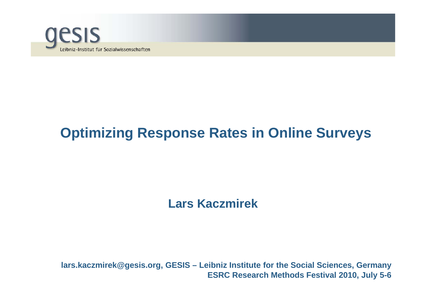

# **Optimizing Response Rates in Online Surveys**

#### **Lars Kaczmirek**

**lars.kaczmirek@gesis.org, GESIS – Leibniz Institute for the Social Sciences, Germany ESRC Research Methods Festival 2010, July 5-6**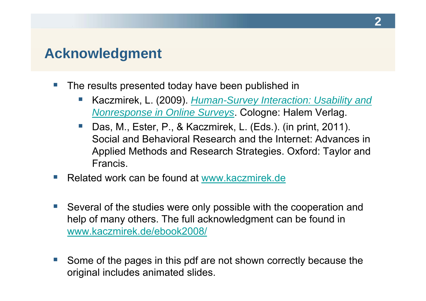### **Acknowledgment**

- $\mathcal{L}^{\text{max}}$ The results presented today have been published in
	- e<br>S Kaczmirek, L. (2009). *Human-Survey Interaction: Usability and Nonresponse in Online Surveys*. Cologne: Halem Verlag.
	- e<br>S Das, M., Ester, P., & Kaczmirek, L. (Eds.). (in print, 2011). Social and Behavioral Research and the Internet: Advances in Applied Methods and Research Strategies. Oxford: Taylor and Francis.
- $\mathcal{L}^{\text{max}}$ ■ Related work can be found at www.kaczmirek.de
- $\mathcal{L}^{\mathcal{A}}$  Several of the studies were only possible with the cooperation and help of many others. The full acknowledgment can be found in www.kaczmirek.de/ebook2008/
- e<br>S Some of the pages in this pdf are not shown correctly because the original includes animated slides.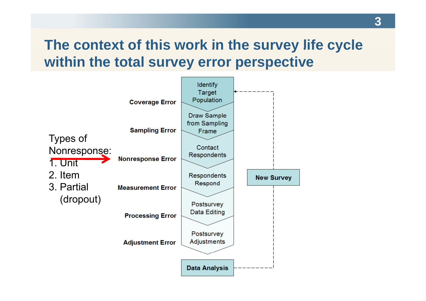# **The context of this work in the survey life cycle survey within the total survey error perspective**

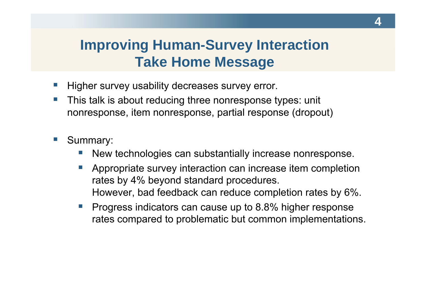# **Improving Human-Survey Interaction Take Home Message**

- $\mathcal{L}^{\text{max}}$ **Higher survey usability decreases survey error.**
- $\mathcal{C}^{\mathcal{A}}$  This talk is about reducing three nonresponse types: unit nonresponse, item nonresponse, partial response (dropout)
- $\sim$  Summary:
	- e<br>S New technologies can substantially increase nonresponse.
	- $\mathcal{L}_{\rm{max}}$  Appropriate survey interaction can increase item completion rates by 4% beyond standard procedures. However, bad feedback can reduce completion rates by 6%.
	- Ŧ Progress indicators can cause up to 8.8% higher response rates compared to problematic but common implementations.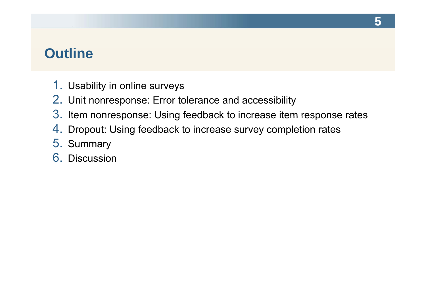## **Outline**

- 1. Usability in online surveys
- 2. Unit nonresponse: Error tolerance and accessibility
- 3. Item nonresponse: Using feedback to increase item response rates
- 4. Dropout: Using feedback to increase survey completion rates
- 5. Summary
- 6. Discussion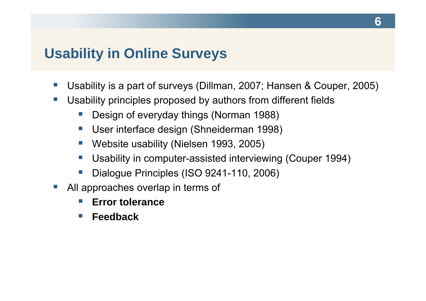### **Usability in Online Surveys**

- $\mathcal{L}^{\text{max}}$ ■ Usability is a part of surveys (Dillman, 2007; Hansen & Couper, 2005)
- $\sim$  Usability principles proposed by authors from different fields
	- e<br>S Design of everyday things (Norman 1988)
	- $\mathcal{L}_{\mathcal{A}}$ User interface design (Shneiderman 1998)
	- $\mathcal{L}^{\mathcal{A}}$ Website usability (Nielsen 1993, 2005)
	- e<br>S Usability in computer-assisted interviewing (Couper 1994)
	- e<br>S Dialogue Principles (ISO 9241-110, 2006)
- e<br>S  $\blacksquare$  All approaches overlap in terms of
	- **Tale Error tolerance**
	- $\sim$ **Feedback**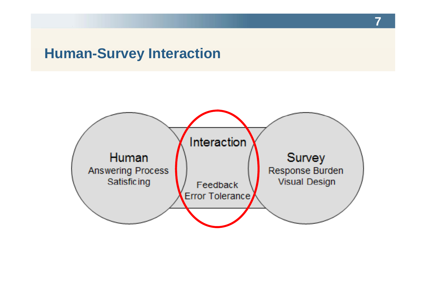## **Human-Survey Interaction**

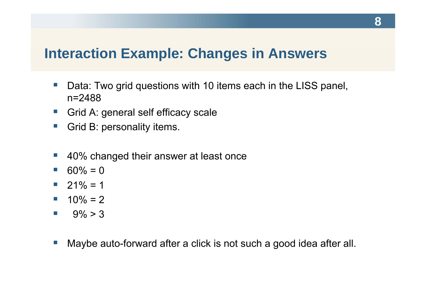### **Interaction Example: Changes in Answers**

- $\mathcal{L}^{\mathcal{L}}$ • Data: Two grid questions with 10 items each in the LISS panel, n=2488
- $\mathbb{R}^n$ ■ Grid A: general self efficacy scale
- e<br>S Grid B: personality items.
- $\mathcal{L}_{\text{max}}$ 40% changed their answer at least once
- $\blacksquare$  60% = 0
- $\blacksquare$  21% = 1
- $10\% = 2$
- $\mathcal{L}^{\text{max}}$  $9\% > 3$
- $\mathcal{L}^{\text{max}}$ Maybe auto-forward after a click is not such a good idea after all.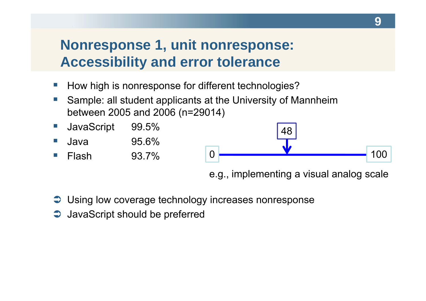# **Nonresponse 1, unit nonresponse: Accessibility and error tolerance**

- $\mathcal{L}^{\mathcal{L}}$ ■ How high is nonresponse for different technologies?
- $\mathcal{L}_{\mathcal{A}}$  Sample: all student applicants at the University of Mannheim between 2005 and 2006 (n=29014)

![](_page_8_Figure_3.jpeg)

e.g., implementing a visual analog scale

- $\supset$  Using low coverage technology increases nonresponse
- $\supset$  JavaScript should be preferred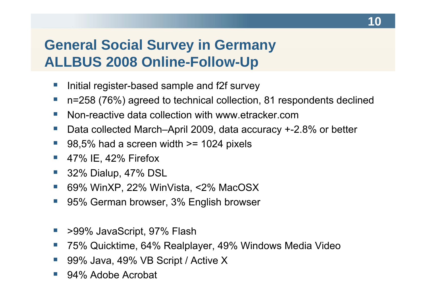# **General Social Survey in Germany ALLBUS 2008 Online-Follow-Up**

- $\mathcal{L}^{\mathcal{L}}$ **I limitial register-based sample and f2f survey**
- $\mathcal{L}^{\text{max}}$ n=258 (76%) agreed to technical collection, 81 respondents declined
- $\overline{\phantom{a}}$ ■ Non-reactive data collection with www.etracker.com
- $\mathbb{R}^n$ Data collected March–April 2009, data accuracy +-2.8% or better
- e<br>S 98,5% had a screen width >= 1024 pixels
- e<br>S 47% IE, 42% Firefox
- e<br>S 32% Dialup, 47% DSL
- e<br>S  $\blacksquare$  69% WinXP, 22% WinVista, <2% MacOSX
- e<br>S 95% German browser, 3% English browser
- Ŧ >99% JavaScript, 97% Flash
- $\mathbb{R}^n$ 75% Quicktime, 64% Realplayer, 49% Windows Media Video
- e<br>S 99% Java, 49% VB Script / Active X
- e<br>S 94% Adobe Acrobat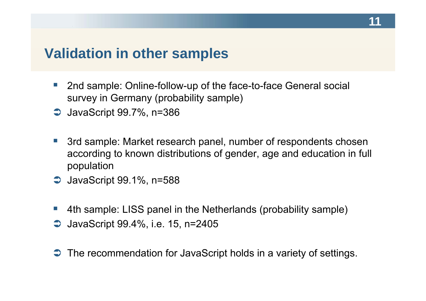### **Validation in other samples**

- $\mathcal{L}^{\mathcal{L}}$ 2nd sample: Online-follow-up of the face-to-face General social survey in Germany (probability sample)
- $\supset$  JavaScript 99.7%, n=386
- $\mathcal{L}^{\text{max}}$  3rd sample: Market research panel, number of respondents chosen according to known distributions of gender, age and education in full population
- $\supset$  JavaScript 99.1%, n=588
- e<br>S 4th sample: LISS panel in the Netherlands (probability sample)
- **→** JavaScript 99.4%, i.e. 15, n=2405
- $\supset$  The recommendation for JavaScript holds in a variety of settings.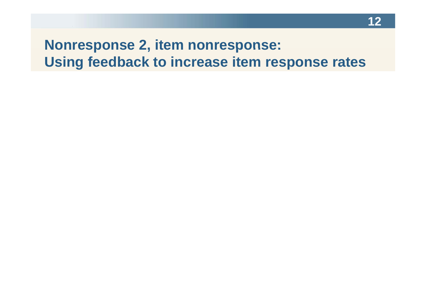# **Nonresponse 2, item nonresponse: Using feedback to increase item response rates**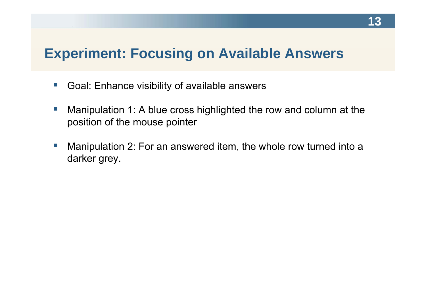# **Experiment: Focusing on Available Answers**

- $\mathcal{L}^{\mathcal{L}}$ ■ Goal: Enhance visibility of available answers
- $\left\vert \cdot\right\vert$  Manipulation 1: A blue cross highlighted the row and column at the position of the mouse pointer
- $\overline{\mathbb{R}^n}$ • Manipulation 2: For an answered item, the whole row turned into a darker grey.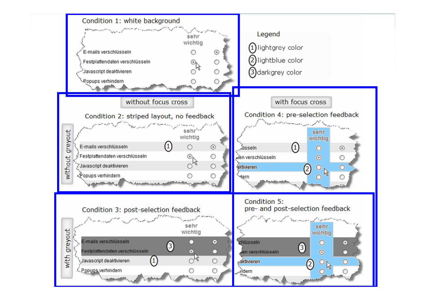![](_page_13_Figure_0.jpeg)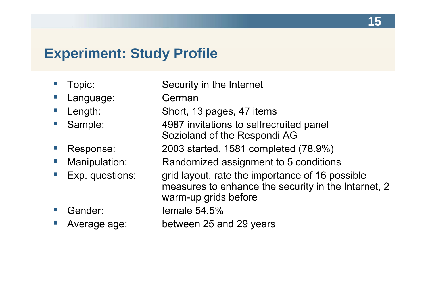# **Experiment: Study Profile**

| Topic:          | Security in the Internet                                                                                                       |
|-----------------|--------------------------------------------------------------------------------------------------------------------------------|
| Language:       | German                                                                                                                         |
| Length:         | Short, 13 pages, 47 items                                                                                                      |
| Sample:         | 4987 invitations to selfrecruited panel<br>Sozioland of the Respondi AG                                                        |
| Response:       | 2003 started, 1581 completed (78.9%)                                                                                           |
| Manipulation:   | Randomized assignment to 5 conditions                                                                                          |
| Exp. questions: | grid layout, rate the importance of 16 possible<br>measures to enhance the security in the Internet, 2<br>warm-up grids before |
| Gender:         | female $54.5%$                                                                                                                 |
| Average age:    | between 25 and 29 years                                                                                                        |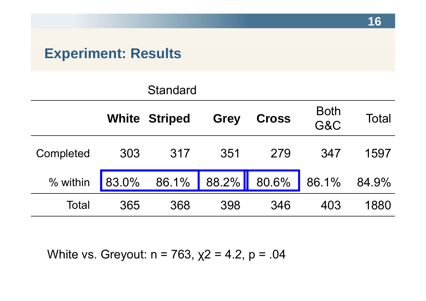# **Experiment: Results**

|           |     | <b>Standard</b>               |             |              |                    |       |
|-----------|-----|-------------------------------|-------------|--------------|--------------------|-------|
|           |     | <b>White Striped</b>          | <b>Grey</b> | <b>Cross</b> | <b>Both</b><br>G&C | Total |
| Completed | 303 | 317                           | 351         | 279          | 347                | 1597  |
| % within  |     | 83.0% 86.1% 88.2% 80.6% 86.1% |             |              |                    | 84.9% |
| Total     | 365 | 368                           | 398         | 346          | 403                | 1880  |

White vs. Greyout: n = 763,  $\chi2$  = 4.2, p = .04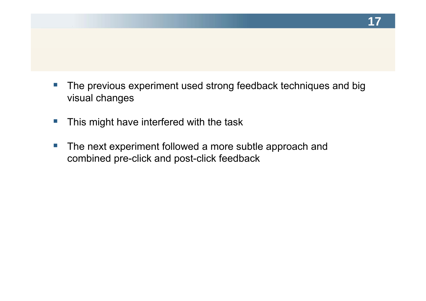- $\sim$ • The previous experiment used strong feedback techniques and big visual changes
- $\mathbb{R}^n$ This might have interfered with the task
- $\overline{\mathbb{R}^n}$ ■ The next experiment followed a more subtle approach and combined pre-click and post-click feedback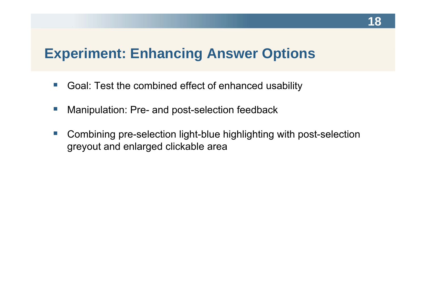## **Experiment: Enhancing Answer Options**

- $\left\vert \cdot \right\rangle$ ■ Goal: Test the combined effect of enhanced usability
- $\mathbb{R}^n$ Manipulation: Pre- and post-selection feedback
- $\mathcal{L}^{\mathcal{L}}$  Combining pre-selection light-blue highlighting with post-selection greyout and enlarged clickable area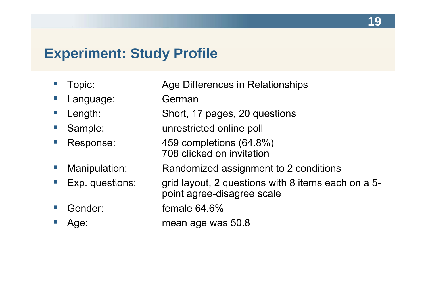#### **Experiment: Study Profile**

- $\mathbb{R}^n$ ■ Topic: △ Age Differences in Relationships
- $\mathcal{L}_{\mathcal{A}}$ Language: German
- $\mathcal{L}^{\text{max}}$
- e<br>S
- 
- $\mathcal{C}^{\mathcal{A}}$
- e<br>S
- e<br>S
- e<br>S

 Length: Short, 17 pages, 20 questions Sample: unrestricted online poll Response: 459 completions (64.8%) 708 clicked on invitation Manipulation: Randomized assignment to 2 conditions ■ Exp. questions: grid layout, 2 questions with 8 items each on a 5point agree-disagree scale Gender: **female 64.6%** 

Age: mean age was 50.8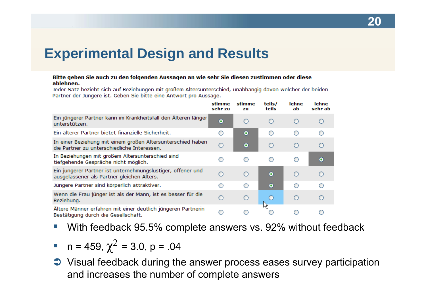## **Experimental Design and Results**

#### Bitte geben Sie auch zu den folgenden Aussagen an wie sehr Sie diesen zustimmen oder diese ablehnen.

Jeder Satz bezieht sich auf Beziehungen mit großem Altersunterschied, unabhängig davon welcher der beiden Partner der Jüngere ist. Geben Sie bitte eine Antwort pro Aussage.

|                                                                                                            | stimme<br>sehr zu | stimme<br>zu | teils/<br>teils | lehne<br>ab | lehne<br>sehr ab |
|------------------------------------------------------------------------------------------------------------|-------------------|--------------|-----------------|-------------|------------------|
| Ein jüngerer Partner kann im Krankheitsfall den Älteren länger<br>unterstützen.                            | $\bullet$         | ∩            | $\circ$         | O           | O                |
| Ein älterer Partner bietet finanzielle Sicherheit.                                                         | O                 | $\bullet$    | O               | O           | O                |
| In einer Beziehung mit einem großen Altersunterschied haben<br>die Partner zu unterschiedliche Interessen. | О                 | $\bullet$    | $\circ$         | O           | $\bigcirc$       |
| In Beziehungen mit großem Altersunterschied sind<br>tiefgehende Gespräche nicht möglich.                   | O                 | O            | O               | О           | $\bullet$        |
| Ein jüngerer Partner ist unternehmungslustiger, offener und<br>ausgelassener als Partner gleichen Alters.  | Ω                 | ∩            | $\bullet$       | ∩           | $\circ$          |
| Jüngere Partner sind körperlich attraktiver.                                                               | ∩                 | ∩            | $\bullet$       | ∩           | ∩                |
| Wenn die Frau jünger ist als der Mann, ist es besser für die<br>Beziehung.                                 | Ο                 | $\circ$      |                 | О           | Ω                |
| Ältere Männer erfahren mit einer deutlich jüngeren Partnerin<br>Bestätigung durch die Gesellschaft.        |                   |              |                 |             |                  |

- $\mathbb{R}^n$ With feedback 95.5% complete answers vs. 92% without feedback
- $n = 459, \chi^2 = 3.0, p = .04$
- **→** Visual feedback during the answer process eases survey participation and increases the number of complete answers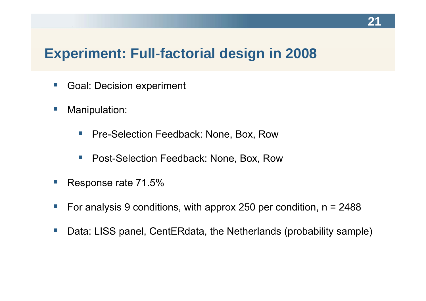## **Experiment: Full-factorial design in 2008**

- $\mathcal{L}^{\mathcal{L}}$ Goal: Decision experiment
- $\mathbb{R}^n$  Manipulation:
	- $\mathcal{L}^{\text{max}}$ Pre-Selection Feedback: None, Box, Row
	- $\mathcal{L}_{\mathcal{A}}$ Post-Selection Feedback: None, Box, Row
- e<br>S Response rate 71.5%
- $\mathcal{L}_{\mathcal{A}}$ For analysis 9 conditions, with approx 250 per condition,  $n = 2488$
- $\mathcal{L}_{\mathcal{A}}$ Data: LISS panel, CentERdata, the Netherlands (probability sample)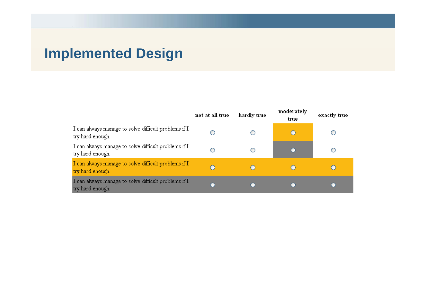# **Implemented Design**

|                                                                          | not at all true | hardly true | moderately<br>true | exactly true |
|--------------------------------------------------------------------------|-----------------|-------------|--------------------|--------------|
| I can always manage to solve difficult problems if I<br>try hard enough. |                 | O           |                    |              |
| I can always manage to solve difficult problems if I<br>try hard enough. |                 | O           |                    |              |
| I can always manage to solve difficult problems if I<br>try hard enough. |                 | O           |                    |              |
| I can always manage to solve difficult problems if I<br>try hard enough. |                 |             |                    |              |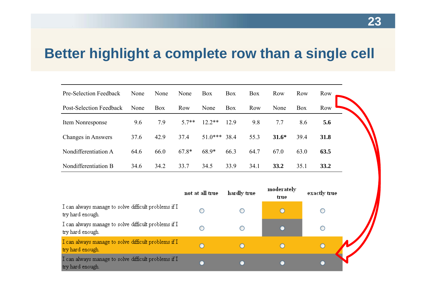# **Better highlight a complete row than a single cell**

| Pre-Selection Feedback  | None | None       | None    | <b>Box</b> | Box        | <b>Box</b> | Row     | Row        | Row         |
|-------------------------|------|------------|---------|------------|------------|------------|---------|------------|-------------|
| Post-Selection Feedback | None | <b>Box</b> | Row     | None       | <b>Box</b> | Row        | None    | <b>Box</b> | Row         |
| Item Nonresponse        | 9.6  | 7.9        | $5.7**$ | $12.2**$   | 12.9       | 9.8        | 7.7     | 8.6        | 5.6         |
| Changes in Answers      | 37.6 | 42.9       | 37.4    | $51.0***$  | 38.4       | 55.3       | $31.6*$ | 39.4       | <b>31.8</b> |
| Nondifferentiation A    | 64.6 | 66.0       | $67.8*$ | 68.9*      | 66.3       | 64.7       | 67.0    | 63.0       | 63.5        |
| Nondifferentiation B    | 34.6 | 34.2       | 33.7    | 34.5       | 33.9       | 34.1       | 33.2    | 35.1       | <b>33.2</b> |

|                                                                          | not at all true | hardly true | moderately<br>true | exactly true |  |
|--------------------------------------------------------------------------|-----------------|-------------|--------------------|--------------|--|
| I can always manage to solve difficult problems if I<br>try hard enough. |                 |             | C                  |              |  |
| I can always manage to solve difficult problems if I<br>try hard enough. |                 |             |                    |              |  |
| I can always manage to solve difficult problems if I<br>try hard enough. |                 |             |                    |              |  |
| I can always manage to solve difficult problems if I<br>try hard enough. |                 |             |                    |              |  |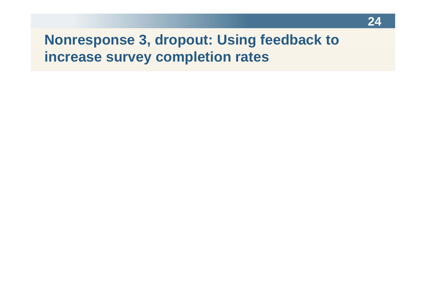# **Nonresponse 3, dropout: Using feedback to increase survey completion rates**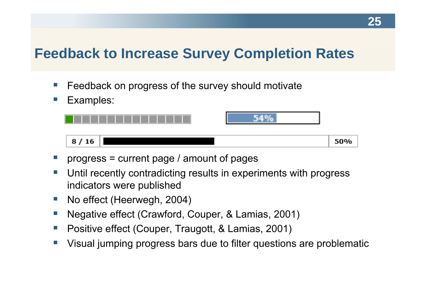# **Feedback to Increase Survey Completion Rates**

- $\mathcal{L}^{\mathcal{L}}$  $\blacksquare$  Feedback on progress of the survey should motivate
- $\mathcal{C}^{\mathcal{A}}$ Examples:

![](_page_24_Figure_4.jpeg)

- e<br>S progress = current page / amount of pages
- e<br>S Until recently contradicting results in experiments with progress indicators were published
- $\mathcal{L}^{\mathcal{L}}$ No effect (Heerwegh, 2004)
- e<br>S ■ Negative effect (Crawford, Couper, & Lamias, 2001)
- e<br>S Positive effect (Couper, Traugott, & Lamias, 2001)
- Ŧ Visual jumping progress bars due to filter questions are problematic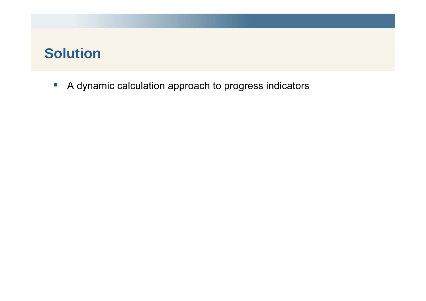# **Solution**

 $\mathcal{L}_{\mathcal{A}}$ A dynamic calculation approach to progress indicators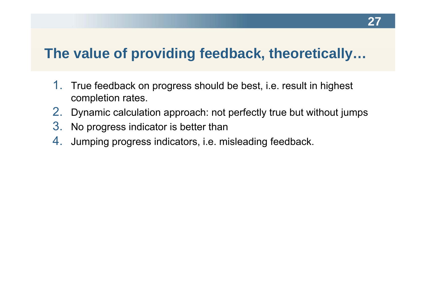## **The value of providing feedback, theoretically…**

- 1.. True feedback on progress should be best, i.e. result in highest completion rates.
- 2. Dynamic calculation approach: not perfectly true but without jumps
- 3. No progress indicator is better than
- 4. Jumping progress indicators, i.e. misleading feedback.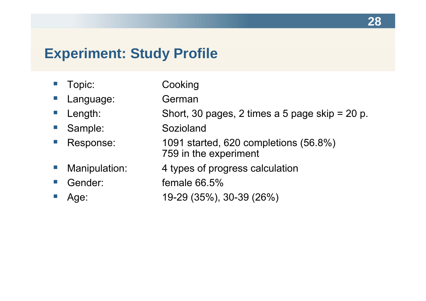# **Experiment: Study Profile**

- $\mathbb{R}^n$ Topic: Cooking
- $\mathcal{L}_{\mathcal{A}}$ Language: German
- Length: Short, 30 pages, 2 times a 5 page skip = 20 p. Sample: Sozioland Response: 1091 started, 620 completions (56.8%) 759 in the experiment Manipulation: 4 types of progress calculation Gender: female 66.5% Age: 19-29 (35%), 30-39 (26%)

**28**

e<br>S e<br>S

 $\mathcal{L}^{\mathcal{L}}$ 

 $\mathcal{L}^{\text{max}}$ 

 $\mathcal{C}^{\mathcal{A}}$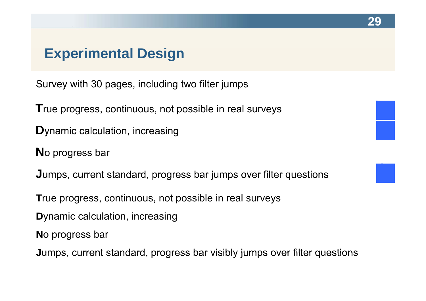## **Experimental Design**

Survey with 30 pages, including two filter jumps

**T**rue progress, continuous, not possible in real surveys

- **D** ynamic calculation, increasing
- **N**o progress bar

**J J**umps, current standard, progress bar jumps over filter questions

**29**

**T**rue progress, continuous, not possible in real surveys

**D**ynamic calculation, increasing

**N**o progress bar

**Jumps, current standard, progress bar visibly jumps over filter questions**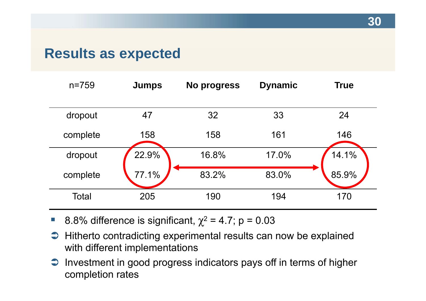### **Results as expected**

| $n = 759$ | <b>Jumps</b> | No progress | <b>Dynamic</b> | <b>True</b> |
|-----------|--------------|-------------|----------------|-------------|
|           |              |             |                |             |
| dropout   | 47           | 32          | 33             | 24          |
| complete  | 158          | 158         | 161            | 146         |
| dropout   | 22.9%        | 16.8%       | 17.0%          | 14.1%       |
| complete  | 77.1%        | 83.2%       | 83.0%          | 85.9%       |
| Total     | 205          | 190         | 194            | 170         |

 $\mathcal{L}_{\mathcal{A}}$ ■ 8.8% difference is significant,  $χ² = 4.7$ ; p = 0.03

- **→** Hitherto contradicting experimental results can now be explained with different im plementations
- $\supset$  Investment in good progress indicators pays off in terms of higher completion rates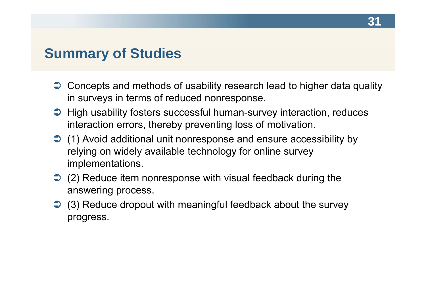#### **Summary of Studies**

- $\supset$  Concepts and methods of usability research lead to higher data quality in surveys in terms of reduced nonresponse.
- High usability fosters successful human-survey interaction, reduces interaction errors, thereby preventing loss of motivation.
- (1) Avoid additional unit nonresponse and ensure accessibility by relying on widely available technology for online survey implementations.
- $\supset$  (2) Reduce item nonresponse with visual feedback during the answering process.
- $\supset$  (3) Reduce dropout with meaningful feedback about the survey progress.